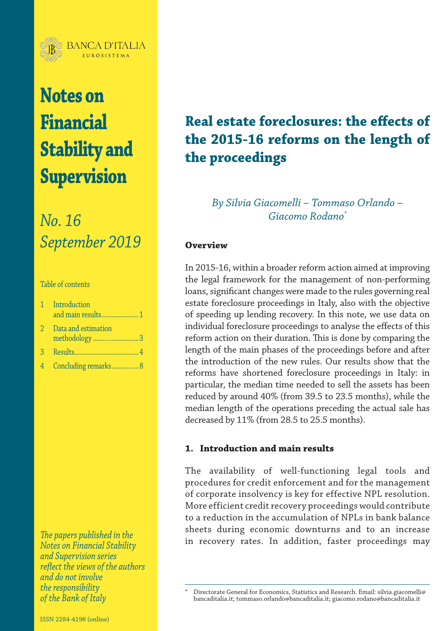

# **Notes on Financial Stability and Supervision**

## *No. 16 September 2019*

#### Table of contents

|                | 1 Introduction<br>and main results1 |
|----------------|-------------------------------------|
| 2.             | Data and estimation<br>methodology3 |
| $\mathcal{B}$  |                                     |
| 4 <sup>1</sup> | Concluding remarks 8                |

*The papers published in the Notes on Financial Stability and Supervision series reflect the views of the authors and do not involve the responsibility*

### **Real estate foreclosures: the effects of the 2015-16 reforms on the length of the proceedings**

*By Silvia Giacomelli – Tommaso Orlando – Giacomo Rodano\**

#### **Overview**

In 2015-16, within a broader reform action aimed at improving the legal framework for the management of non-performing loans, significant changes were made to the rules governing real estate foreclosure proceedings in Italy, also with the objective of speeding up lending recovery. In this note, we use data on individual foreclosure proceedings to analyse the effects of this reform action on their duration. This is done by comparing the length of the main phases of the proceedings before and after the introduction of the new rules. Our results show that the reforms have shortened foreclosure proceedings in Italy: in particular, the median time needed to sell the assets has been reduced by around 40% (from 39.5 to 23.5 months), while the median length of the operations preceding the actual sale has decreased by 11% (from 28.5 to 25.5 months).

#### **1. Introduction and main results**

The availability of well-functioning legal tools and procedures for credit enforcement and for the management of corporate insolvency is key for effective NPL resolution. More efficient credit recovery proceedings would contribute to a reduction in the accumulation of NPLs in bank balance sheets during economic downturns and to an increase in recovery rates. In addition, faster proceedings may

*of the Bank of Italy* \* Directorate General for Economics, Statistics and Research. Email: [silvia.giacomelli@](mailto:silvia.giacomelli@bancaditalia.it) [bancaditalia.it;](mailto:silvia.giacomelli@bancaditalia.it) [tommaso.orlando@bancaditalia.it](mailto:tommaso.orlando@bancaditalia.it); [giacomo.rodano@bancaditalia.it](mailto:giacomo.rodano@bancaditalia.it)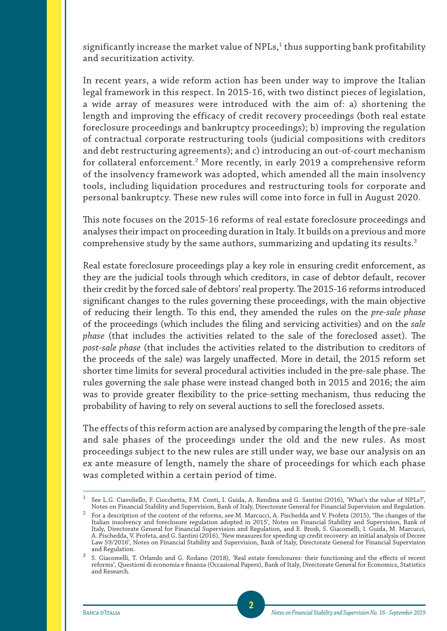significantly increase the market value of NPLs, $^1$  thus supporting bank profitability and securitization activity.

In recent years, a wide reform action has been under way to improve the Italian legal framework in this respect. In 2015-16, with two distinct pieces of legislation, a wide array of measures were introduced with the aim of: a) shortening the length and improving the efficacy of credit recovery proceedings (both real estate foreclosure proceedings and bankruptcy proceedings); b) improving the regulation of contractual corporate restructuring tools (judicial compositions with creditors and debt restructuring agreements); and c) introducing an out-of-court mechanism for collateral enforcement.2 More recently, in early 2019 a comprehensive reform of the insolvency framework was adopted, which amended all the main insolvency tools, including liquidation procedures and restructuring tools for corporate and personal bankruptcy. These new rules will come into force in full in August 2020.

This note focuses on the 2015-16 reforms of real estate foreclosure proceedings and analyses their impact on proceeding duration in Italy. It builds on a previous and more comprehensive study by the same authors, summarizing and updating its results.<sup>3</sup>

Real estate foreclosure proceedings play a key role in ensuring credit enforcement, as they are the judicial tools through which creditors, in case of debtor default, recover their credit by the forced sale of debtors' real property. The 2015-16 reforms introduced significant changes to the rules governing these proceedings, with the main objective of reducing their length. To this end, they amended the rules on the *pre-sale phase* of the proceedings (which includes the filing and servicing activities) and on the *sale phase* (that includes the activities related to the sale of the foreclosed asset). The *post-sale phase* (that includes the activities related to the distribution to creditors of the proceeds of the sale) was largely unaffected. More in detail, the 2015 reform set shorter time limits for several procedural activities included in the pre-sale phase. The rules governing the sale phase were instead changed both in 2015 and 2016; the aim was to provide greater flexibility to the price-setting mechanism, thus reducing the probability of having to rely on several auctions to sell the foreclosed assets.

The effects of this reform action are analysed by comparing the length of the pre-sale and sale phases of the proceedings under the old and the new rules. As most proceedings subject to the new rules are still under way, we base our analysis on an ex ante measure of length, namely the share of proceedings for which each phase was completed within a certain period of time.

<sup>1</sup> See L.G. Ciavoliello, F. Ciocchetta, F.M. Conti, I. Guida, A. Rendina and G. Santini (2016), 'What's the value of NPLs?', Notes on Financial Stability and Supervision, Bank of Italy, Directorate General for Financial Supervision and Regulation.

 $^2$  For a description of the content of the reforms, see M. Marcucci, A. Pischedda and V. Profeta (2015), 'The changes of the Italian insolvency and foreclosure regulation adopted in 2015', Notes on Financial Stability and Supervision, Bank of Italy, Directorate General for Financial Supervision and Regulation, and E. Brodi, S. Giacomelli, I. Guida, M. Marcucci, A. Pischedda, V. Profeta, and G. Santini (2016), 'New measures for speeding up credit recovery: an initial analysis of Decree Law 59/2016', Notes on Financial Stability and Supervision, Bank of Italy, Directorate General for Financial Supervision and Regulation.

 $^3$  S. Giacomelli, T. Orlando and G. Rodano (2018), 'Real estate foreclosures: their functioning and the effects of recent reforms', Questioni di economia e finanza (Occasional Papers), Bank of Italy, Directorate General for Economics, Statistics and Research.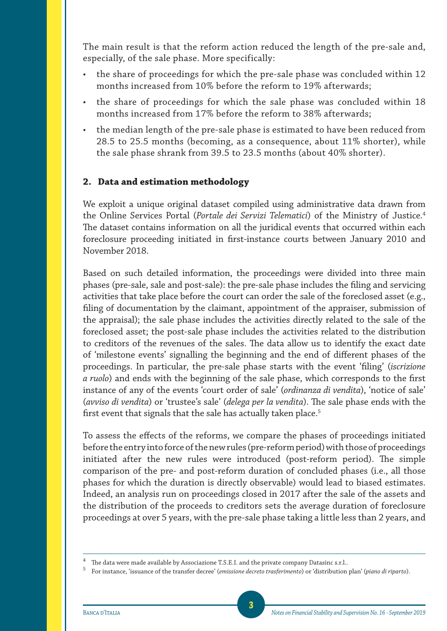The main result is that the reform action reduced the length of the pre-sale and, especially, of the sale phase. More specifically:

- the share of proceedings for which the pre-sale phase was concluded within 12 months increased from 10% before the reform to 19% afterwards;
- the share of proceedings for which the sale phase was concluded within 18 months increased from 17% before the reform to 38% afterwards;
- the median length of the pre-sale phase is estimated to have been reduced from 28.5 to 25.5 months (becoming, as a consequence, about 11% shorter), while the sale phase shrank from 39.5 to 23.5 months (about 40% shorter).

#### **2. Data and estimation methodology**

We exploit a unique original dataset compiled using administrative data drawn from the Online Services Portal (*Portale dei Servizi Telematici*) of the Ministry of Justice.4 The dataset contains information on all the juridical events that occurred within each foreclosure proceeding initiated in first-instance courts between January 2010 and November 2018.

Based on such detailed information, the proceedings were divided into three main phases (pre-sale, sale and post-sale): the pre-sale phase includes the filing and servicing activities that take place before the court can order the sale of the foreclosed asset (e.g., filing of documentation by the claimant, appointment of the appraiser, submission of the appraisal); the sale phase includes the activities directly related to the sale of the foreclosed asset; the post-sale phase includes the activities related to the distribution to creditors of the revenues of the sales. The data allow us to identify the exact date of 'milestone events' signalling the beginning and the end of different phases of the proceedings. In particular, the pre-sale phase starts with the event 'filing' (*iscrizione a ruolo*) and ends with the beginning of the sale phase, which corresponds to the first instance of any of the events 'court order of sale' (*ordinanza di vendita*), 'notice of sale' (*avviso di vendita*) or 'trustee's sale' (*delega per la vendita*). The sale phase ends with the first event that signals that the sale has actually taken place.<sup>5</sup>

To assess the effects of the reforms, we compare the phases of proceedings initiated before the entry into force of the new rules (pre-reform period) with those of proceedings initiated after the new rules were introduced (post-reform period). The simple comparison of the pre- and post-reform duration of concluded phases (i.e., all those phases for which the duration is directly observable) would lead to biased estimates. Indeed, an analysis run on proceedings closed in 2017 after the sale of the assets and the distribution of the proceeds to creditors sets the average duration of foreclosure proceedings at over 5 years, with the pre-sale phase taking a little less than 2 years, and

 $^4$  The data were made available by Associazione T.S.E.I. and the private company Datasinc s.r.l..

<sup>5</sup> For instance, 'issuance of the transfer decree' (*emissione decreto trasferimento*) or 'distribution plan' (*piano di riparto*).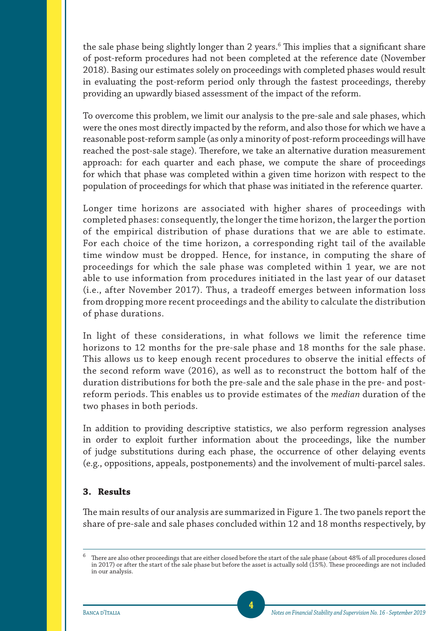the sale phase being slightly longer than 2 years.<sup>6</sup> This implies that a significant share of post-reform procedures had not been completed at the reference date (November 2018). Basing our estimates solely on proceedings with completed phases would result in evaluating the post-reform period only through the fastest proceedings, thereby providing an upwardly biased assessment of the impact of the reform.

To overcome this problem, we limit our analysis to the pre-sale and sale phases, which were the ones most directly impacted by the reform, and also those for which we have a reasonable post-reform sample (as only a minority of post-reform proceedings will have reached the post-sale stage). Therefore, we take an alternative duration measurement approach: for each quarter and each phase, we compute the share of proceedings for which that phase was completed within a given time horizon with respect to the population of proceedings for which that phase was initiated in the reference quarter.

Longer time horizons are associated with higher shares of proceedings with completed phases: consequently, the longer the time horizon, the larger the portion of the empirical distribution of phase durations that we are able to estimate. For each choice of the time horizon, a corresponding right tail of the available time window must be dropped. Hence, for instance, in computing the share of proceedings for which the sale phase was completed within 1 year, we are not able to use information from procedures initiated in the last year of our dataset (i.e., after November 2017). Thus, a tradeoff emerges between information loss from dropping more recent proceedings and the ability to calculate the distribution of phase durations.

In light of these considerations, in what follows we limit the reference time horizons to 12 months for the pre-sale phase and 18 months for the sale phase. This allows us to keep enough recent procedures to observe the initial effects of the second reform wave (2016), as well as to reconstruct the bottom half of the duration distributions for both the pre-sale and the sale phase in the pre- and postreform periods. This enables us to provide estimates of the *median* duration of the two phases in both periods.

In addition to providing descriptive statistics, we also perform regression analyses in order to exploit further information about the proceedings, like the number of judge substitutions during each phase, the occurrence of other delaying events (e.g., oppositions, appeals, postponements) and the involvement of multi-parcel sales.

#### **3. Results**

The main results of our analysis are summarized in Figure 1. The two panels report the share of pre-sale and sale phases concluded within 12 and 18 months respectively, by

 $^6$  There are also other proceedings that are either closed before the start of the sale phase (about 48% of all procedures closed in 2017) or after the start of the sale phase but before the asset is actually sold (15%). These proceedings are not included in our analysis.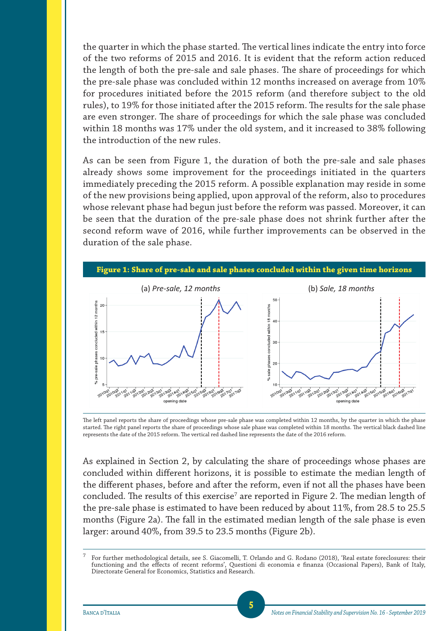the quarter in which the phase started. The vertical lines indicate the entry into force of the two reforms of 2015 and 2016. It is evident that the reform action reduced the length of both the pre-sale and sale phases. The share of proceedings for which the pre-sale phase was concluded within 12 months increased on average from 10% for procedures initiated before the 2015 reform (and therefore subject to the old rules), to 19% for those initiated after the 2015 reform. The results for the sale phase are even stronger. The share of proceedings for which the sale phase was concluded within 18 months was 17% under the old system, and it increased to 38% following the introduction of the new rules.

As can be seen from Figure 1, the duration of both the pre-sale and sale phases already shows some improvement for the proceedings initiated in the quarters immediately preceding the 2015 reform. A possible explanation may reside in some of the new provisions being applied, upon approval of the reform, also to procedures whose relevant phase had begun just before the reform was passed. Moreover, it can be seen that the duration of the pre-sale phase does not shrink further after the second reform wave of 2016, while further improvements can be observed in the duration of the sale phase.



The left panel reports the share of proceedings whose pre-sale phase was completed within 12 months, by the quarter in which the phase started. The right panel reports the share of proceedings whose sale phase was completed within 18 months. The vertical black dashed line represents the date of the 2015 reform. The vertical red dashed line represents the date of the 2016 reform.

As explained in Section 2, by calculating the share of proceedings whose phases are concluded within different horizons, it is possible to estimate the median length of the different phases, before and after the reform, even if not all the phases have been concluded. The results of this exercise<sup>7</sup> are reported in Figure 2. The median length of the pre-sale phase is estimated to have been reduced by about 11%, from 28.5 to 25.5 months (Figure 2a). The fall in the estimated median length of the sale phase is even larger: around 40%, from 39.5 to 23.5 months (Figure 2b).

<sup>7</sup> For further methodological details, see S. Giacomelli, T. Orlando and G. Rodano (2018), 'Real estate foreclosures: their functioning and the effects of recent reforms', Questioni di economia e finanza (Occasional Papers), Bank of Italy, Directorate General for Economics, Statistics and Research.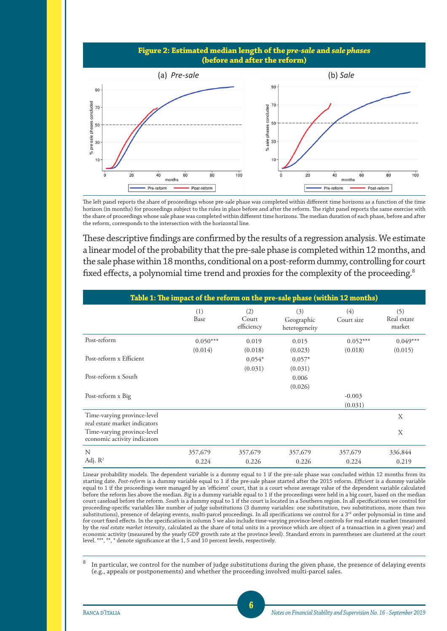



The left panel reports the share of proceedings whose pre-sale phase was completed within different time horizons as a function of the time horizon (in months) for proceedings subject to the rules in place before and after the reform. The right panel reports the same exercise with the share of proceedings whose sale phase was completed within different time horizons. The median duration of each phase, before and after the reform, corresponds to the intersection with the horizontal line.

These descriptive findings are confirmed by the results of a regression analysis. We estimate a linear model of the probability that the pre-sale phase is completed within 12 months, and the sale phase within 18 months, conditional on a post-reform dummy, controlling for court fixed effects, a polynomial time trend and proxies for the complexity of the proceeding.<sup>8</sup>

| Table 1: The impact of the reform on the pre-sale phase (within 12 months) |             |                            |                                    |                   |                              |  |  |  |
|----------------------------------------------------------------------------|-------------|----------------------------|------------------------------------|-------------------|------------------------------|--|--|--|
|                                                                            | (1)<br>Base | (2)<br>Court<br>efficiency | (3)<br>Geographic<br>heterogeneity | (4)<br>Court size | (5)<br>Real estate<br>market |  |  |  |
| Post-reform                                                                | $0.050***$  | 0.019                      | 0.015                              | $0.052***$        | $0.049***$                   |  |  |  |
|                                                                            | (0.014)     | (0.018)                    | (0.023)                            | (0.018)           | (0.015)                      |  |  |  |
| Post-reform x Efficient                                                    |             | $0.054*$                   | $0.057*$                           |                   |                              |  |  |  |
|                                                                            |             | (0.031)                    | (0.031)                            |                   |                              |  |  |  |
| Post-reform x South                                                        |             |                            | 0.006                              |                   |                              |  |  |  |
|                                                                            |             |                            | (0.026)                            |                   |                              |  |  |  |
| Post-reform x Big                                                          |             |                            |                                    | $-0.003$          |                              |  |  |  |
|                                                                            |             |                            |                                    | (0.031)           |                              |  |  |  |
| Time-varying province-level<br>real estate market indicators               |             |                            |                                    |                   | X                            |  |  |  |
| Time-varying province-level<br>economic activity indicators                |             |                            |                                    |                   | X                            |  |  |  |
| N                                                                          | 357,679     | 357,679                    | 357,679                            | 357,679           | 336,844                      |  |  |  |
| Adj. $R^2$                                                                 | 0.224       | 0.226                      | 0.226                              | 0.224             | 0.219                        |  |  |  |

Linear probability models. The dependent variable is a dummy equal to 1 if the pre-sale phase was concluded within 12 months from its starting date. *Post-reform* is a dummy variable equal to 1 if the pre-sale phase started after the 2015 reform. *Efficient* is a dummy variable equal to 1 if the proceedings were managed by an 'efficient' court, that is a court whose average value of the dependent variable calculated before the reform lies above the median. *Big* is a dummy variable equal to 1 if the proceedings were held in a big court, based on the median court caseload before the reform. *South* is a dummy equal to 1 if the court is located in a Southern region. In all specifications we control for proceeding-specific variables like number of judge substitutions (3 dummy variables: one substitution, two substitutions, more than two substitutions), presence of delaying events, multi-parcel proceedings. In all specifications we control for a 3<sup>rd</sup> order polynomial in time and for court fixed effects. In the specification in column 5 we also include time-varying province-level controls for real estate market (measured by the *real estate market intensity*, calculated as the share of total units in a province which are object of a transaction in a given year) and economic activity (measured by the yearly GDP growth rate at the province level). Standard errors in parentheses are clustered at the court level. \*\*\*, \*\*, \* denote significance at the 1, 5 and 10 percent levels, respectively.

<sup>8</sup> In particular, we control for the number of judge substitutions during the given phase, the presence of delaying events (e.g., appeals or postponements) and whether the proceeding involved multi-parcel sales.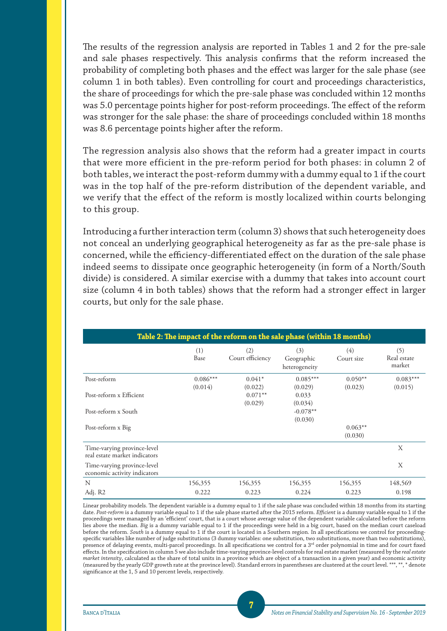The results of the regression analysis are reported in Tables 1 and 2 for the pre-sale and sale phases respectively. This analysis confirms that the reform increased the probability of completing both phases and the effect was larger for the sale phase (see column 1 in both tables). Even controlling for court and proceedings characteristics, the share of proceedings for which the pre-sale phase was concluded within 12 months was 5.0 percentage points higher for post-reform proceedings. The effect of the reform was stronger for the sale phase: the share of proceedings concluded within 18 months was 8.6 percentage points higher after the reform.

The regression analysis also shows that the reform had a greater impact in courts that were more efficient in the pre-reform period for both phases: in column 2 of both tables, we interact the post-reform dummy with a dummy equal to 1 if the court was in the top half of the pre-reform distribution of the dependent variable, and we verify that the effect of the reform is mostly localized within courts belonging to this group.

Introducing a further interaction term (column 3) shows that such heterogeneity does not conceal an underlying geographical heterogeneity as far as the pre-sale phase is concerned, while the efficiency-differentiated effect on the duration of the sale phase indeed seems to dissipate once geographic heterogeneity (in form of a North/South divide) is considered. A similar exercise with a dummy that takes into account court size (column 4 in both tables) shows that the reform had a stronger effect in larger courts, but only for the sale phase.

| Table 2: The impact of the reform on the sale phase (within 18 months) |                       |                         |                                    |                      |                              |  |  |  |
|------------------------------------------------------------------------|-----------------------|-------------------------|------------------------------------|----------------------|------------------------------|--|--|--|
|                                                                        | (1)<br>Base           | (2)<br>Court efficiency | (3)<br>Geographic<br>heterogeneity | (4)<br>Court size    | (5)<br>Real estate<br>market |  |  |  |
| Post-reform                                                            | $0.086***$<br>(0.014) | $0.041*$<br>(0.022)     | $0.085***$<br>(0.029)              | $0.050**$<br>(0.023) | $0.083***$<br>(0.015)        |  |  |  |
| Post-reform x Efficient                                                |                       | $0.071**$<br>(0.029)    | 0.033<br>(0.034)                   |                      |                              |  |  |  |
| Post-reform x South                                                    |                       |                         | $-0.078**$<br>(0.030)              |                      |                              |  |  |  |
| Post-reform x Big                                                      |                       |                         |                                    | $0.063**$<br>(0.030) |                              |  |  |  |
| Time-varying province-level<br>real estate market indicators           |                       |                         |                                    |                      | X                            |  |  |  |
| Time-varying province-level<br>economic activity indicators            |                       |                         |                                    |                      | X                            |  |  |  |
| N                                                                      | 156,355               | 156,355                 | 156,355                            | 156,355              | 148,569                      |  |  |  |
| Adj. R2                                                                | 0.222                 | 0.223                   | 0.224                              | 0.223                | 0.198                        |  |  |  |

Linear probability models. The dependent variable is a dummy equal to 1 if the sale phase was concluded within 18 months from its starting date. *Post-reform* is a dummy variable equal to 1 if the sale phase started after the 2015 reform. *Efficient* is a dummy variable equal to 1 if the proceedings were managed by an 'efficient' court, that is a court whose average value of the dependent variable calculated before the reform lies above the median. *Big* is a dummy variable equal to 1 if the proceedings were held in a big court, based on the median court caseload before the reform. *South* is a dummy equal to 1 if the court is located in a Southern region. In all specifications we control for proceedingspecific variables like number of judge substitutions (3 dummy variables: one substitution, two substitutions, more than two substitutions), presence of delaying events, multi-parcel proceedings. In all specifications we control for a 3<sup>rd</sup> order polynomial in time and for court fixed effects. In the specification in column 5 we also include time-varying province-level controls for real estate market (measured by the *real estate market intensity*, calculated as the share of total units in a province which are object of a transaction in a given year) and economic activity (measured by the yearly GDP growth rate at the province level). Standard errors in parentheses are clustered at the court level. \*\*\*, \*\*, \* denote significance at the 1, 5 and 10 percent levels, respectively.

**7**